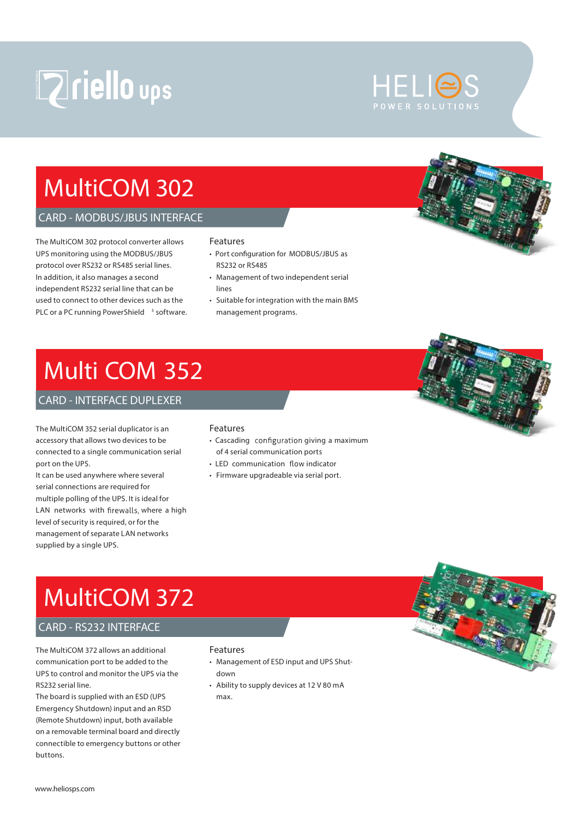# **Zriello ups**

# **MultiCOM 302**

### *CARD - MODBUS/JBUS INTERFACE*

The MultiCOM 302 protocol converter allows UPS monitoring using the MODBUS/JBUS protocol over RS232 or RS485 serial lines. In addition, it also manages a second independent RS232 serial line that can be used to connect to other devices such as the PLC or a PC running PowerShield <sup>3</sup> software.

#### **Features**

- Port configuration for MODBUS/JBUS as RS232 or RS485
- Management of two independent serial lines
- Suitable for integration with the main BMS management programs.

# **Multi COM 352**

### *CARD - INTERFACE DUPLEXER*

The MultiCOM 352 serial duplicator is an accessory that allows two devices to be connected to a single communication serial port on the UPS.

It can be used anywhere where several serial connections are required for multiple polling of the UPS. It is ideal for LAN networks with firewalls, where a high level of security is required, or for the management of separate LAN networks supplied by a single UPS.

### **Features**

- Cascading configuration giving a maximum of 4 serial communication ports
- LED communication flow indicator
- Firmware upgradeable via serial port.



### *CARD - RS232 INTERFACE*

The MultiCOM 372 allows an additional communication port to be added to the UPS to control and monitor the UPS via the RS232 serial line.

The board is supplied with an ESD (UPS Emergency Shutdown) input and an RSD (Remote Shutdown) input, both available on a removable terminal board and directly connectible to emergency buttons or other buttons.

#### **Features**

- Management of ESD input and UPS Shutdown
- Ability to supply devices at 12 V 80 mA max.



HELIE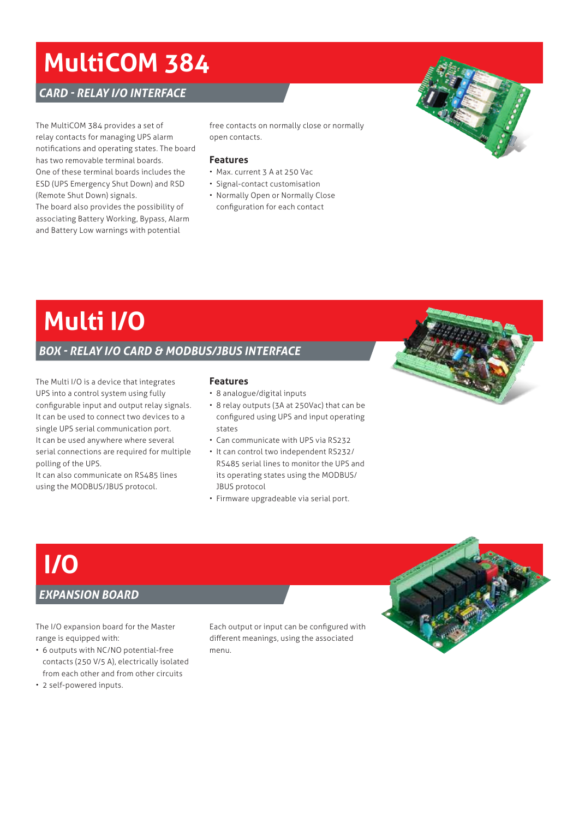# **MultiCOM 384**

*CARD - RELAY I/O INTERFACE*

The MultiCOM 384 provides a set of relay contacts for managing UPS alarm notifications and operating states. The board has two removable terminal boards. One of these terminal boards includes the ESD (UPS Emergency Shut Down) and RSD (Remote Shut Down) signals.

The board also provides the possibility of associating Battery Working, Bypass, Alarm and Battery Low warnings with potential

free contacts on normally close or normally open contacts.

#### **Features**

- Max. current 3 A at 250 Vac
- Signal-contact customisation
- Normally Open or Normally Close configuration for each contact

# **Multi I/O**

### *BOX - RELAY I/O CARD & MODBUS/JBUS INTERFACE*

The Multi I/O is a device that integrates UPS into a control system using fully configurable input and output relay signals. It can be used to connect two devices to a single UPS serial communication port. It can be used anywhere where several serial connections are required for multiple polling of the UPS.

It can also communicate on RS485 lines using the MODBUS/JBUS protocol.

### **Features**

- 8 analogue/digital inputs
- 8 relay outputs (3A at 250Vac) that can be configured using UPS and input operating states
- Can communicate with UPS via RS232
- It can control two independent RS232/ RS485 serial lines to monitor the UPS and its operating states using the MODBUS/ JBUS protocol
- Firmware upgradeable via serial port.





## *EXPANSION BOARD*

**I/O**

The I/O expansion board for the Master range is equipped with:

- 6 outputs with NC/NO potential-free contacts (250 V/5 A), electrically isolated from each other and from other circuits
- 2 self-powered inputs.

Each output or input can be configured with different meanings, using the associated menu.